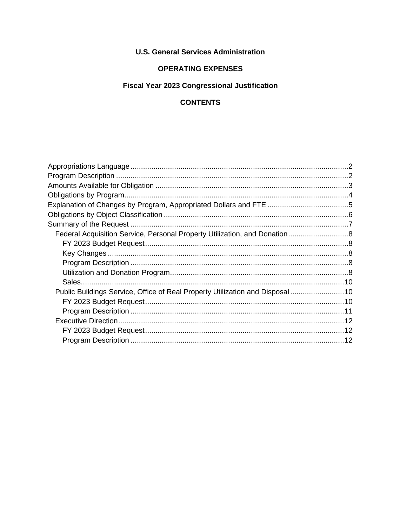## **U.S. General Services Administration**

## **OPERATING EXPENSES**

## **Fiscal Year 2023 Congressional Justification**

## **CONTENTS**

| Public Buildings Service, Office of Real Property Utilization and Disposal10 |  |
|------------------------------------------------------------------------------|--|
|                                                                              |  |
|                                                                              |  |
|                                                                              |  |
|                                                                              |  |
|                                                                              |  |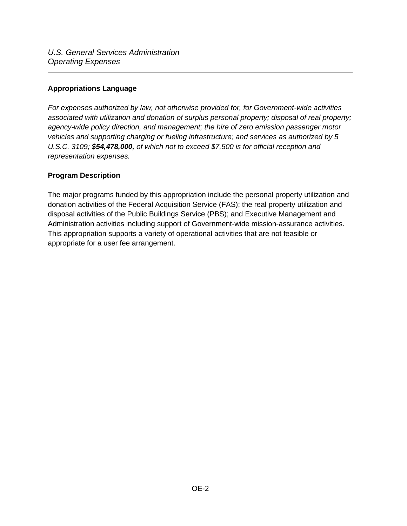#### <span id="page-1-0"></span>**Appropriations Language**

*For expenses authorized by law, not otherwise provided for, for Government-wide activities associated with utilization and donation of surplus personal property; disposal of real property; agency-wide policy direction, and management; the hire of zero emission passenger motor vehicles and supporting charging or fueling infrastructure; and services as authorized by 5 U.S.C. 3109; \$54,478,000, of which not to exceed \$7,500 is for official reception and representation expenses.* 

## <span id="page-1-1"></span>**Program Description**

The major programs funded by this appropriation include the personal property utilization and donation activities of the Federal Acquisition Service (FAS); the real property utilization and disposal activities of the Public Buildings Service (PBS); and Executive Management and Administration activities including support of Government-wide mission-assurance activities. This appropriation supports a variety of operational activities that are not feasible or appropriate for a user fee arrangement.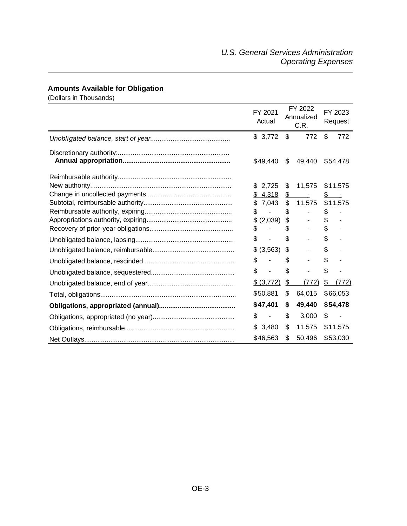# <span id="page-2-0"></span>**Amounts Available for Obligation**

(Dollars in Thousands)

| FY 2021<br>Actual              |                | FY 2022<br>Annualized<br>C.R. | FY 2023<br>Request |       |
|--------------------------------|----------------|-------------------------------|--------------------|-------|
| \$3,772                        | \$             | 772                           | \$                 | 772   |
| \$49,440                       | \$             | 49,440                        | \$54,478           |       |
|                                |                |                               |                    |       |
| 2,725<br>\$                    | \$             | 11,575                        | \$11,575           |       |
| 4,318<br>\$                    | $\mathfrak{D}$ | $\overline{\phantom{a}}$      | \$<br>$\sim$ $-$   |       |
| 7,043<br>\$                    | $\$\$          | 11,575                        | \$11,575           |       |
| \$                             | \$             |                               | \$                 |       |
| (2,039)<br>\$                  | \$             |                               | \$                 |       |
| \$                             | \$             |                               | \$                 |       |
| \$                             | \$             |                               | \$                 |       |
| \$ (3,563)                     | \$             |                               | \$                 |       |
| \$                             | \$             |                               | \$                 |       |
| \$                             | \$             |                               | \$                 |       |
| \$ (3,772)                     | \$             | (772)                         | \$                 | (772) |
| \$50,881                       | \$             | 64,015                        | \$66,053           |       |
| \$47,401                       | \$             | 49,440                        | \$54,478           |       |
| \$<br>$\overline{\phantom{a}}$ | \$             | 3,000                         | \$                 |       |
| 3,480<br>\$                    | \$             | 11,575                        | \$11,575           |       |
| \$46,563                       | \$             | 50,496                        | \$53,030           |       |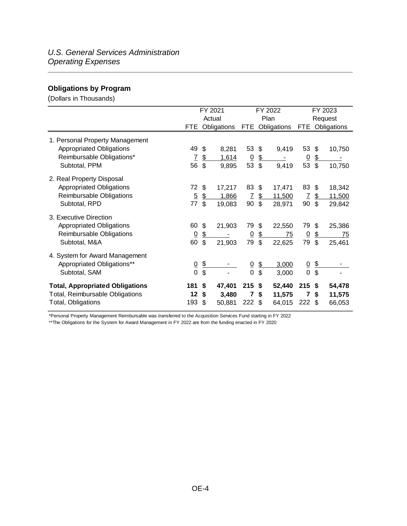## <span id="page-3-0"></span>**Obligations by Program**

(Dollars in Thousands)

|                                        | FY 2021        |                          |        |                  | FY 2022                   | FY 2023 |                |                           |                 |  |
|----------------------------------------|----------------|--------------------------|--------|------------------|---------------------------|---------|----------------|---------------------------|-----------------|--|
|                                        | Actual         |                          |        |                  |                           | Plan    | Request        |                           |                 |  |
|                                        | FTE            | Obligations              |        | FTE.             | Obligations               |         | <b>FTE</b>     |                           | Obligations     |  |
| 1. Personal Property Management        |                |                          |        |                  |                           |         |                |                           |                 |  |
| <b>Appropriated Obligations</b>        | 49             | \$                       | 8,281  | $53 \text{ }$ \$ |                           | 9,419   | 53             | $\mathfrak{L}$            | 10,750          |  |
| Reimbursable Obligations*              | $\mathcal{I}$  | $\frac{1}{2}$            | 1,614  | $\overline{0}$   | $\frac{2}{3}$             |         | $\overline{0}$ | $\frac{1}{2}$             |                 |  |
| Subtotal, PPM                          | 56             | $\mathfrak{S}$           | 9,895  | 53               | $\mathfrak{L}$            | 9,419   | 53             | $\boldsymbol{\mathsf{s}}$ | 10,750          |  |
| 2. Real Property Disposal              |                |                          |        |                  |                           |         |                |                           |                 |  |
| <b>Appropriated Obligations</b>        | 72             | \$                       | 17,217 | 83               | \$                        | 17,471  | 83 \$          |                           | 18,342          |  |
| Reimbursable Obligations               | $\overline{5}$ | $\frac{1}{2}$            | 1,866  | $\overline{I}$   | $\frac{1}{2}$             | 11,500  | $\overline{I}$ | $\frac{1}{2}$             | 11,500          |  |
| Subtotal, RPD                          | 77             | $\mathfrak{L}$           | 19,083 | 90               | $\boldsymbol{\mathsf{s}}$ | 28,971  | 90             | $\mathfrak{F}$            | 29,842          |  |
| 3. Executive Direction                 |                |                          |        |                  |                           |         |                |                           |                 |  |
| <b>Appropriated Obligations</b>        | 60             | $\mathfrak{L}$           | 21,903 | 79               | \$                        | 22,550  | 79             | -\$                       | 25,386          |  |
| Reimbursable Obligations               | $\overline{0}$ | $\frac{2}{2}$            |        | $\overline{0}$   | \$                        | 75      | $\overline{0}$ | $\frac{2}{3}$             | $\overline{75}$ |  |
| Subtotal, M&A                          | 60             | \$                       | 21,903 | 79               | \$                        | 22,625  | 79             | $\boldsymbol{\mathsf{S}}$ | 25,461          |  |
| 4. System for Award Management         |                |                          |        |                  |                           |         |                |                           |                 |  |
| Appropriated Obligations**             | $\frac{0}{0}$  | $\overline{\mathcal{F}}$ |        | $\underline{0}$  | $\frac{2}{3}$             | 3,000   | $\overline{0}$ | $\overline{\mathcal{F}}$  |                 |  |
| Subtotal, SAM                          |                | \$                       |        | $\overline{0}$   | \$                        | 3,000   | 0              | \$                        |                 |  |
| <b>Total, Appropriated Obligations</b> | 181            | \$                       | 47,401 | $215$ \$         |                           | 52,440  | $215$ \$       |                           | 54,478          |  |
| Total, Reimbursable Obligations        | 12             | \$                       | 3,480  | $\overline{7}$   | \$                        | 11,575  | 7              | \$                        | 11,575          |  |
| Total, Obligations                     | 193            | \$                       | 50,881 | 222              | -\$                       | 64,015  | $222$ \$       |                           | 66,053          |  |

\*Personal Property Management Reimbursable was transferred to the Acquisition Services Fund starting in FY 2022

\*\*The Obligations for the System for Award Management in FY 2022 are from the funding enacted in FY 2020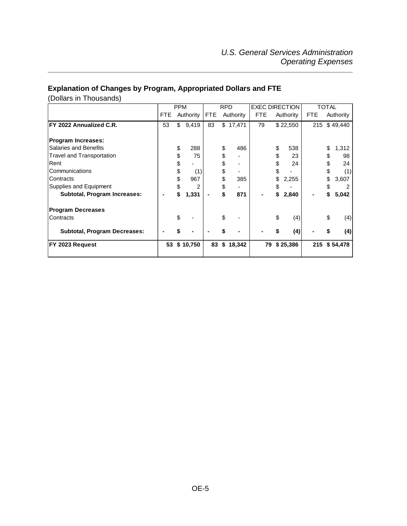## <span id="page-4-0"></span>**Explanation of Changes by Program, Appropriated Dollars and FTE**

(Dollars in Thousands)

|                                     |            | <b>PPM</b> |           | <b>RPD</b> |    |           | <b>EXEC DIRECTION</b> |    |           | TOTAL      |    |              |
|-------------------------------------|------------|------------|-----------|------------|----|-----------|-----------------------|----|-----------|------------|----|--------------|
|                                     | <b>FTE</b> |            | Authority | <b>FTE</b> |    | Authority | <b>FTE</b>            |    | Authority | <b>FTE</b> |    | Authority    |
| FY 2022 Annualized C.R.             | 53         | \$         | 9,419     | 83         |    | \$17,471  | 79                    |    | \$22,550  |            |    | 215 \$49,440 |
| <b>Program Increases:</b>           |            |            |           |            |    |           |                       |    |           |            |    |              |
| <b>Salaries and Benefits</b>        |            | \$         | 288       |            | \$ | 486       |                       | \$ | 538       |            | \$ | 1,312        |
| <b>Travel and Transportation</b>    |            | \$         | 75        |            |    |           |                       | \$ | 23        |            | \$ | 98           |
| Rent                                |            | \$         |           |            | S  |           |                       | \$ | 24        |            | \$ | 24           |
| Communications                      |            | \$         | (1)       |            | \$ |           |                       | \$ |           |            | \$ | (1)          |
| Contracts                           |            | \$         | 967       |            | \$ | 385       |                       | \$ | 2,255     |            | \$ | 3,607        |
| Supplies and Equipment              |            | S          | 2         |            | \$ |           |                       |    |           |            |    |              |
| Subtotal, Program Increases:        |            | \$         | 1,331     |            |    | 871       |                       | S  | 2,840     |            | \$ | 5,042        |
| <b>Program Decreases</b>            |            |            |           |            |    |           |                       |    |           |            |    |              |
| Contracts                           |            | \$         |           |            | \$ |           |                       | \$ | (4)       |            | \$ | (4)          |
| <b>Subtotal, Program Decreases:</b> |            | \$         |           |            |    |           |                       | \$ | (4)       |            |    | (4)          |
| FY 2023 Request                     | 53         |            | \$10,750  | 83         | \$ | 18,342    | 79                    |    | \$25,386  | 215        |    | \$54,478     |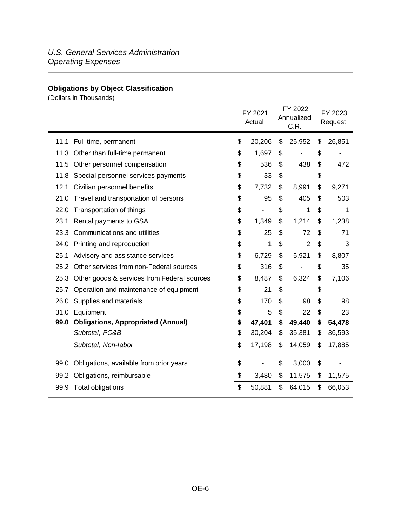## <span id="page-5-0"></span>**Obligations by Object Classification**

(Dollars in Thousands)

|      |                                             | FY 2021<br>Actual |    | FY 2022<br>Annualized<br>C.R. | FY 2023<br>Request |        |  |
|------|---------------------------------------------|-------------------|----|-------------------------------|--------------------|--------|--|
| 11.1 | Full-time, permanent                        | \$<br>20,206      | \$ | 25,952                        | \$                 | 26,851 |  |
| 11.3 | Other than full-time permanent              | \$<br>1,697       | S  |                               | \$                 |        |  |
| 11.5 | Other personnel compensation                | \$<br>536         | \$ | 438                           | \$                 | 472    |  |
| 11.8 | Special personnel services payments         | \$<br>33          | \$ |                               | \$                 | -      |  |
| 12.1 | Civilian personnel benefits                 | \$<br>7,732       | \$ | 8,991                         | \$                 | 9,271  |  |
| 21.0 | Travel and transportation of persons        | \$<br>95          | \$ | 405                           | \$                 | 503    |  |
| 22.0 | Transportation of things                    | \$                | \$ | 1                             | \$                 | 1      |  |
| 23.1 | Rental payments to GSA                      | \$<br>1,349       | \$ | 1,214                         | \$                 | 1,238  |  |
| 23.3 | Communications and utilities                | \$<br>25          | \$ | 72                            | \$                 | 71     |  |
| 24.0 | Printing and reproduction                   | \$<br>1           | \$ | $\overline{2}$                | \$                 | 3      |  |
| 25.1 | Advisory and assistance services            | \$<br>6,729       | \$ | 5,921                         | \$                 | 8,807  |  |
| 25.2 | Other services from non-Federal sources     | \$<br>316         | \$ |                               | \$                 | 35     |  |
| 25.3 | Other goods & services from Federal sources | \$<br>8,487       | \$ | 6,324                         | \$                 | 7,106  |  |
| 25.7 | Operation and maintenance of equipment      | \$<br>21          | \$ |                               | \$                 |        |  |
| 26.0 | Supplies and materials                      | \$<br>170         | \$ | 98                            | \$                 | 98     |  |
| 31.0 | Equipment                                   | \$<br>5           | \$ | 22                            | \$                 | 23     |  |
| 99.0 | <b>Obligations, Appropriated (Annual)</b>   | \$<br>47,401      | \$ | 49,440                        | \$                 | 54,478 |  |
|      | Subtotal, PC&B                              | \$<br>30,204      | \$ | 35,381                        | \$                 | 36,593 |  |
|      | Subtotal, Non-labor                         | \$<br>17,198      | \$ | 14,059                        | \$                 | 17,885 |  |
| 99.0 | Obligations, available from prior years     | \$                | \$ | 3,000                         | \$                 |        |  |
| 99.2 | Obligations, reimbursable                   | \$<br>3,480       | \$ | 11,575                        | \$                 | 11,575 |  |
|      | 99.9 Total obligations                      | \$<br>50,881      | \$ | 64,015                        | \$                 | 66,053 |  |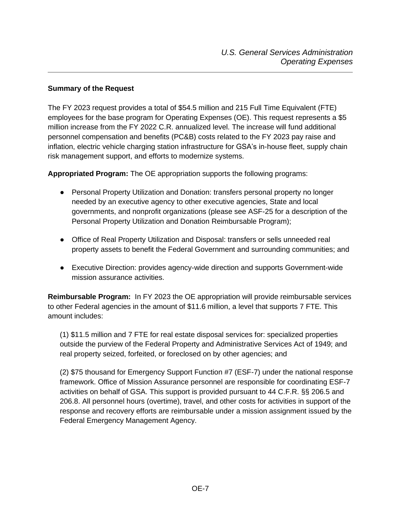#### <span id="page-6-0"></span>**Summary of the Request**

The FY 2023 request provides a total of \$54.5 million and 215 Full Time Equivalent (FTE) employees for the base program for Operating Expenses (OE). This request represents a \$5 million increase from the FY 2022 C.R. annualized level. The increase will fund additional personnel compensation and benefits (PC&B) costs related to the FY 2023 pay raise and inflation, electric vehicle charging station infrastructure for GSA's in-house fleet, supply chain risk management support, and efforts to modernize systems.

**Appropriated Program:** The OE appropriation supports the following programs:

- Personal Property Utilization and Donation: transfers personal property no longer needed by an executive agency to other executive agencies, State and local governments, and nonprofit organizations (please see ASF-25 for a description of the Personal Property Utilization and Donation Reimbursable Program);
- Office of Real Property Utilization and Disposal: transfers or sells unneeded real property assets to benefit the Federal Government and surrounding communities; and
- Executive Direction: provides agency-wide direction and supports Government-wide mission assurance activities.

**Reimbursable Program:** In FY 2023 the OE appropriation will provide reimbursable services to other Federal agencies in the amount of \$11.6 million, a level that supports 7 FTE. This amount includes:

(1) \$11.5 million and 7 FTE for real estate disposal services for: specialized properties outside the purview of the Federal Property and Administrative Services Act of 1949; and real property seized, forfeited, or foreclosed on by other agencies; and

(2) \$75 thousand for Emergency Support Function #7 (ESF-7) under the national response framework. Office of Mission Assurance personnel are responsible for coordinating ESF-7 activities on behalf of GSA. This support is provided pursuant to 44 C.F.R. §§ 206.5 and 206.8. All personnel hours (overtime), travel, and other costs for activities in support of the response and recovery efforts are reimbursable under a mission assignment issued by the Federal Emergency Management Agency.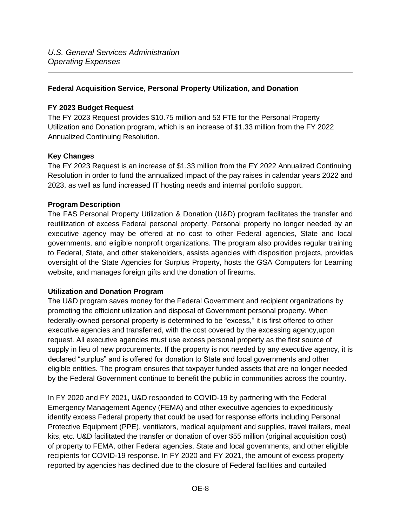#### <span id="page-7-0"></span>**Federal Acquisition Service, Personal Property Utilization, and Donation**

#### <span id="page-7-1"></span>**FY 2023 Budget Request**

The FY 2023 Request provides \$10.75 million and 53 FTE for the Personal Property Utilization and Donation program, which is an increase of \$1.33 million from the FY 2022 Annualized Continuing Resolution.

#### <span id="page-7-2"></span>**Key Changes**

The FY 2023 Request is an increase of \$1.33 million from the FY 2022 Annualized Continuing Resolution in order to fund the annualized impact of the pay raises in calendar years 2022 and 2023, as well as fund increased IT hosting needs and internal portfolio support.

#### <span id="page-7-3"></span>**Program Description**

The FAS Personal Property Utilization & Donation (U&D) program facilitates the transfer and reutilization of excess Federal personal property. Personal property no longer needed by an executive agency may be offered at no cost to other Federal agencies, State and local governments, and eligible nonprofit organizations. The program also provides regular training to Federal, State, and other stakeholders, assists agencies with disposition projects, provides oversight of the State Agencies for Surplus Property, hosts the GSA Computers for Learning website, and manages foreign gifts and the donation of firearms.

#### <span id="page-7-4"></span>**Utilization and Donation Program**

The U&D program saves money for the Federal Government and recipient organizations by promoting the efficient utilization and disposal of Government personal property. When federally-owned personal property is determined to be "excess," it is first offered to other executive agencies and transferred, with the cost covered by the excessing agency,upon request. All executive agencies must use excess personal property as the first source of supply in lieu of new procurements. If the property is not needed by any executive agency, it is declared "surplus" and is offered for donation to State and local governments and other eligible entities. The program ensures that taxpayer funded assets that are no longer needed by the Federal Government continue to benefit the public in communities across the country.

In FY 2020 and FY 2021, U&D responded to COVID-19 by partnering with the Federal Emergency Management Agency (FEMA) and other executive agencies to expeditiously identify excess Federal property that could be used for response efforts including Personal Protective Equipment (PPE), ventilators, medical equipment and supplies, travel trailers, meal kits, etc. U&D facilitated the transfer or donation of over \$55 million (original acquisition cost) of property to FEMA, other Federal agencies, State and local governments, and other eligible recipients for COVID-19 response. In FY 2020 and FY 2021, the amount of excess property reported by agencies has declined due to the closure of Federal facilities and curtailed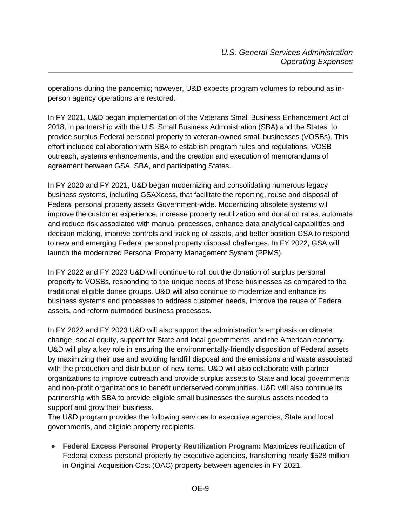operations during the pandemic; however, U&D expects program volumes to rebound as inperson agency operations are restored.

In FY 2021, U&D began implementation of the Veterans Small Business Enhancement Act of 2018, in partnership with the U.S. Small Business Administration (SBA) and the States, to provide surplus Federal personal property to veteran-owned small businesses (VOSBs). This effort included collaboration with SBA to establish program rules and regulations, VOSB outreach, systems enhancements, and the creation and execution of memorandums of agreement between GSA, SBA, and participating States.

In FY 2020 and FY 2021, U&D began modernizing and consolidating numerous legacy business systems, including GSAXcess, that facilitate the reporting, reuse and disposal of Federal personal property assets Government-wide. Modernizing obsolete systems will improve the customer experience, increase property reutilization and donation rates, automate and reduce risk associated with manual processes, enhance data analytical capabilities and decision making, improve controls and tracking of assets, and better position GSA to respond to new and emerging Federal personal property disposal challenges. In FY 2022, GSA will launch the modernized Personal Property Management System (PPMS).

In FY 2022 and FY 2023 U&D will continue to roll out the donation of surplus personal property to VOSBs, responding to the unique needs of these businesses as compared to the traditional eligible donee groups. U&D will also continue to modernize and enhance its business systems and processes to address customer needs, improve the reuse of Federal assets, and reform outmoded business processes.

In FY 2022 and FY 2023 U&D will also support the administration's emphasis on climate change, social equity, support for State and local governments, and the American economy. U&D will play a key role in ensuring the environmentally-friendly disposition of Federal assets by maximizing their use and avoiding landfill disposal and the emissions and waste associated with the production and distribution of new items. U&D will also collaborate with partner organizations to improve outreach and provide surplus assets to State and local governments and non-profit organizations to benefit underserved communities. U&D will also continue its partnership with SBA to provide eligible small businesses the surplus assets needed to support and grow their business.

The U&D program provides the following services to executive agencies, State and local governments, and eligible property recipients.

● **Federal Excess Personal Property Reutilization Program:** Maximizes reutilization of Federal excess personal property by executive agencies, transferring nearly \$528 million in Original Acquisition Cost (OAC) property between agencies in FY 2021.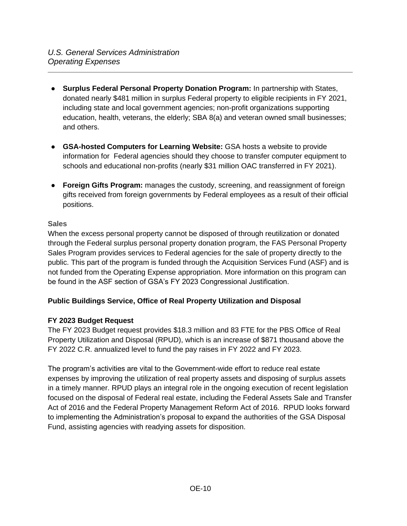- **Surplus Federal Personal Property Donation Program:** In partnership with States, donated nearly \$481 million in surplus Federal property to eligible recipients in FY 2021, including state and local government agencies; non-profit organizations supporting education, health, veterans, the elderly; SBA 8(a) and veteran owned small businesses; and others.
- **GSA-hosted Computers for Learning Website:** GSA hosts a website to provide information for Federal agencies should they choose to transfer computer equipment to schools and educational non-profits (nearly \$31 million OAC transferred in FY 2021).
- **Foreign Gifts Program:** manages the custody, screening, and reassignment of foreign gifts received from foreign governments by Federal employees as a result of their official positions.

## <span id="page-9-0"></span>**Sales**

When the excess personal property cannot be disposed of through reutilization or donated through the Federal surplus personal property donation program, the FAS Personal Property Sales Program provides services to Federal agencies for the sale of property directly to the public. This part of the program is funded through the Acquisition Services Fund (ASF) and is not funded from the Operating Expense appropriation. More information on this program can be found in the ASF section of GSA's FY 2023 Congressional Justification.

## <span id="page-9-1"></span>**Public Buildings Service, Office of Real Property Utilization and Disposal**

## <span id="page-9-2"></span>**FY 2023 Budget Request**

The FY 2023 Budget request provides \$18.3 million and 83 FTE for the PBS Office of Real Property Utilization and Disposal (RPUD), which is an increase of \$871 thousand above the FY 2022 C.R. annualized level to fund the pay raises in FY 2022 and FY 2023.

The program's activities are vital to the Government-wide effort to reduce real estate expenses by improving the utilization of real property assets and disposing of surplus assets in a timely manner. RPUD plays an integral role in the ongoing execution of recent legislation focused on the disposal of Federal real estate, including the Federal Assets Sale and Transfer Act of 2016 and the Federal Property Management Reform Act of 2016. RPUD looks forward to implementing the Administration's proposal to expand the authorities of the GSA Disposal Fund, assisting agencies with readying assets for disposition.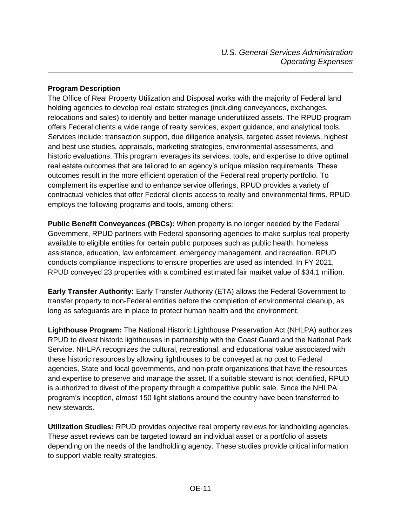#### <span id="page-10-0"></span>**Program Description**

The Office of Real Property Utilization and Disposal works with the majority of Federal land holding agencies to develop real estate strategies (including conveyances, exchanges, relocations and sales) to identify and better manage underutilized assets. The RPUD program offers Federal clients a wide range of realty services, expert guidance, and analytical tools. Services include: transaction support, due diligence analysis, targeted asset reviews, highest and best use studies, appraisals, marketing strategies, environmental assessments, and historic evaluations. This program leverages its services, tools, and expertise to drive optimal real estate outcomes that are tailored to an agency's unique mission requirements. These outcomes result in the more efficient operation of the Federal real property portfolio. To complement its expertise and to enhance service offerings, RPUD provides a variety of contractual vehicles that offer Federal clients access to realty and environmental firms. RPUD employs the following programs and tools, among others:

**Public Benefit Conveyances (PBCs):** When property is no longer needed by the Federal Government, RPUD partners with Federal sponsoring agencies to make surplus real property available to eligible entities for certain public purposes such as public health, homeless assistance, education, law enforcement, emergency management, and recreation. RPUD conducts compliance inspections to ensure properties are used as intended. In FY 2021, RPUD conveyed 23 properties with a combined estimated fair market value of \$34.1 million.

**Early Transfer Authority:** Early Transfer Authority (ETA) allows the Federal Government to transfer property to non-Federal entities before the completion of environmental cleanup, as long as safeguards are in place to protect human health and the environment.

**Lighthouse Program:** The National Historic Lighthouse Preservation Act (NHLPA) authorizes RPUD to divest historic lighthouses in partnership with the Coast Guard and the National Park Service. NHLPA recognizes the cultural, recreational, and educational value associated with these historic resources by allowing lighthouses to be conveyed at no cost to Federal agencies, State and local governments, and non-profit organizations that have the resources and expertise to preserve and manage the asset. If a suitable steward is not identified, RPUD is authorized to divest of the property through a competitive public sale. Since the NHLPA program's inception, almost 150 light stations around the country have been transferred to new stewards.

**Utilization Studies:** RPUD provides objective real property reviews for landholding agencies. These asset reviews can be targeted toward an individual asset or a portfolio of assets depending on the needs of the landholding agency. These studies provide critical information to support viable realty strategies.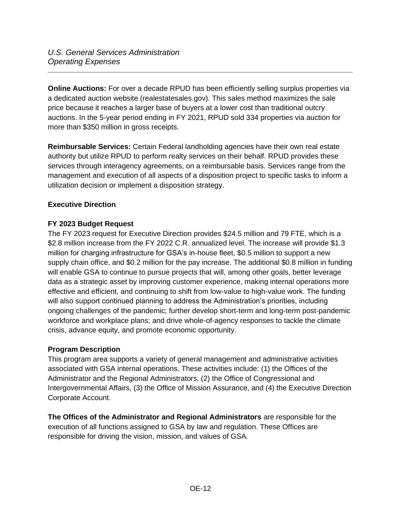**Online Auctions:** For over a decade RPUD has been efficiently selling surplus properties via a dedicated auction website (realestatesales.gov). This sales method maximizes the sale price because it reaches a larger base of buyers at a lower cost than traditional outcry auctions. In the 5-year period ending in FY 2021, RPUD sold 334 properties via auction for more than \$350 million in gross receipts.

**Reimbursable Services:** Certain Federal landholding agencies have their own real estate authority but utilize RPUD to perform realty services on their behalf. RPUD provides these services through interagency agreements, on a reimbursable basis. Services range from the management and execution of all aspects of a disposition project to specific tasks to inform a utilization decision or implement a disposition strategy.

## <span id="page-11-0"></span>**Executive Direction**

## <span id="page-11-1"></span>**FY 2023 Budget Request**

The FY 2023 request for Executive Direction provides \$24.5 million and 79 FTE, which is a \$2.8 million increase from the FY 2022 C.R. annualized level. The increase will provide \$1.3 million for charging infrastructure for GSA's in-house fleet, \$0.5 million to support a new supply chain office, and \$0.2 million for the pay increase. The additional \$0.8 million in funding will enable GSA to continue to pursue projects that will, among other goals, better leverage data as a strategic asset by improving customer experience, making internal operations more effective and efficient, and continuing to shift from low-value to high-value work. The funding will also support continued planning to address the Administration's priorities, including ongoing challenges of the pandemic; further develop short-term and long-term post-pandemic workforce and workplace plans; and drive whole-of-agency responses to tackle the climate crisis, advance equity, and promote economic opportunity.

#### <span id="page-11-2"></span>**Program Description**

This program area supports a variety of general management and administrative activities associated with GSA internal operations. These activities include: (1) the Offices of the Administrator and the Regional Administrators, (2) the Office of Congressional and Intergovernmental Affairs, (3) the Office of Mission Assurance, and (4) the Executive Direction Corporate Account.

**The Offices of the Administrator and Regional Administrators** are responsible for the execution of all functions assigned to GSA by law and regulation. These Offices are responsible for driving the vision, mission, and values of GSA.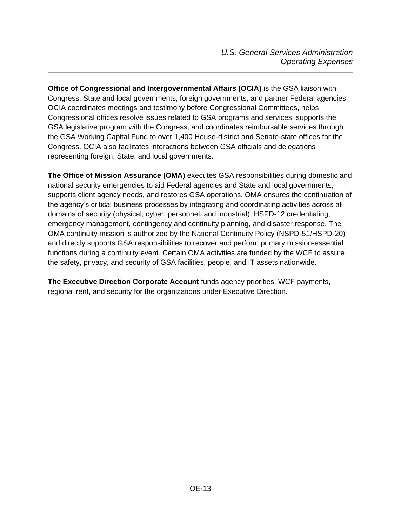**Office of Congressional and Intergovernmental Affairs (OCIA)** is the GSA liaison with Congress, State and local governments, foreign governments, and partner Federal agencies. OCIA coordinates meetings and testimony before Congressional Committees, helps Congressional offices resolve issues related to GSA programs and services, supports the GSA legislative program with the Congress, and coordinates reimbursable services through the GSA Working Capital Fund to over 1,400 House-district and Senate-state offices for the Congress. OCIA also facilitates interactions between GSA officials and delegations representing foreign, State, and local governments.

**The Office of Mission Assurance (OMA)** executes GSA responsibilities during domestic and national security emergencies to aid Federal agencies and State and local governments, supports client agency needs, and restores GSA operations. OMA ensures the continuation of the agency's critical business processes by integrating and coordinating activities across all domains of security (physical, cyber, personnel, and industrial), HSPD-12 credentialing, emergency management, contingency and continuity planning, and disaster response. The OMA continuity mission is authorized by the National Continuity Policy (NSPD-51/HSPD-20) and directly supports GSA responsibilities to recover and perform primary mission-essential functions during a continuity event. Certain OMA activities are funded by the WCF to assure the safety, privacy, and security of GSA facilities, people, and IT assets nationwide.

**The Executive Direction Corporate Account** funds agency priorities, WCF payments, regional rent, and security for the organizations under Executive Direction.